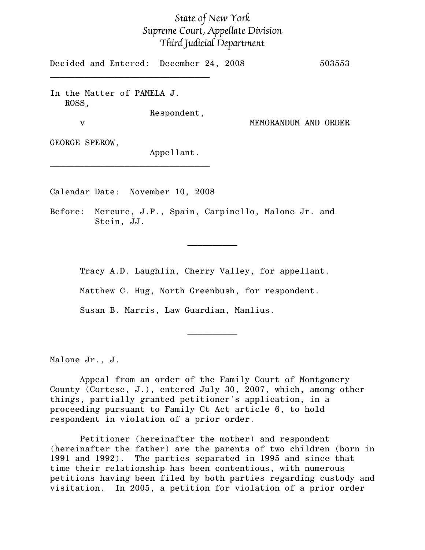## State of New York Supreme Court, Appellate Division Third Judicial Department

Decided and Entered: December 24, 2008 503553  $\mathcal{L}=\{1,2,3,4,5\}$ 

In the Matter of PAMELA J. ROSS,

Respondent,

v MEMORANDUM AND ORDER

GEORGE SPEROW,

Appellant.

Calendar Date: November 10, 2008

 $\mathcal{L}_\text{max}$ 

Before: Mercure, J.P., Spain, Carpinello, Malone Jr. and Stein, JJ.

Tracy A.D. Laughlin, Cherry Valley, for appellant.

 $\frac{1}{2}$ 

 $\frac{1}{2}$ 

Matthew C. Hug, North Greenbush, for respondent.

Susan B. Marris, Law Guardian, Manlius.

Malone Jr., J.

Appeal from an order of the Family Court of Montgomery County (Cortese, J.), entered July 30, 2007, which, among other things, partially granted petitioner's application, in a proceeding pursuant to Family Ct Act article 6, to hold respondent in violation of a prior order.

Petitioner (hereinafter the mother) and respondent (hereinafter the father) are the parents of two children (born in 1991 and 1992). The parties separated in 1995 and since that time their relationship has been contentious, with numerous petitions having been filed by both parties regarding custody and visitation. In 2005, a petition for violation of a prior order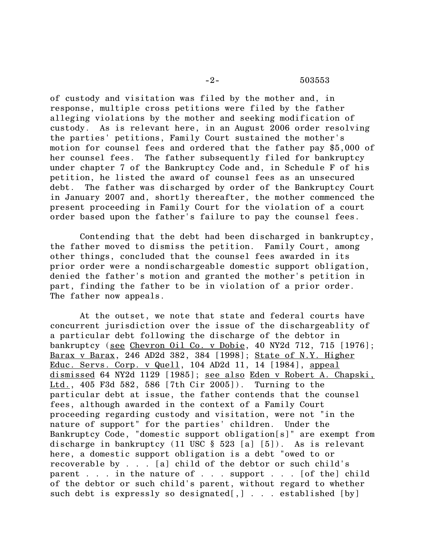## -2- 503553

of custody and visitation was filed by the mother and, in response, multiple cross petitions were filed by the father alleging violations by the mother and seeking modification of custody. As is relevant here, in an August 2006 order resolving the parties' petitions, Family Court sustained the mother's motion for counsel fees and ordered that the father pay \$5,000 of her counsel fees. The father subsequently filed for bankruptcy under chapter 7 of the Bankruptcy Code and, in Schedule F of his petition, he listed the award of counsel fees as an unsecured debt. The father was discharged by order of the Bankruptcy Court in January 2007 and, shortly thereafter, the mother commenced the present proceeding in Family Court for the violation of a court order based upon the father's failure to pay the counsel fees.

Contending that the debt had been discharged in bankruptcy, the father moved to dismiss the petition. Family Court, among other things, concluded that the counsel fees awarded in its prior order were a nondischargeable domestic support obligation, denied the father's motion and granted the mother's petition in part, finding the father to be in violation of a prior order. The father now appeals.

At the outset, we note that state and federal courts have concurrent jurisdiction over the issue of the dischargeablity of a particular debt following the discharge of the debtor in bankruptcy (see Chevron Oil Co. v Dobie, 40 NY2d 712, 715 [1976]; Barax v Barax, 246 AD2d 382, 384 [1998]; State of N.Y. Higher Educ. Servs. Corp. v Quell, 104 AD2d 11, 14 [1984], appeal dismissed 64 NY2d 1129 [1985]; see also Eden v Robert A. Chapski, Ltd., 405 F3d 582, 586 [7th Cir 2005]). Turning to the particular debt at issue, the father contends that the counsel fees, although awarded in the context of a Family Court proceeding regarding custody and visitation, were not "in the nature of support" for the parties' children. Under the Bankruptcy Code, "domestic support obligation[s]" are exempt from discharge in bankruptcy (11 USC § 523 [a] [5]). As is relevant here, a domestic support obligation is a debt "owed to or recoverable by . . . [a] child of the debtor or such child's parent . . . in the nature of . . . support . . . [of the] child of the debtor or such child's parent, without regard to whether such debt is expressly so designated[,] . . . established [by]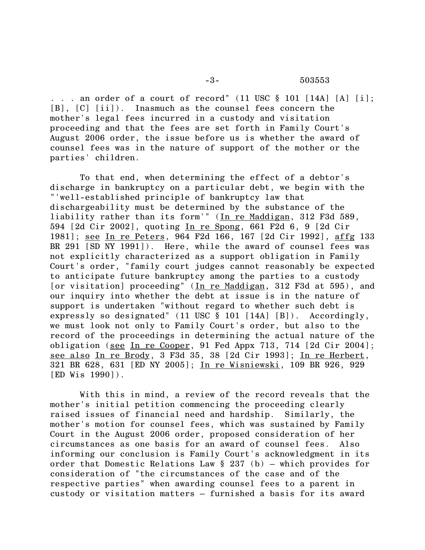. . . an order of a court of record"  $(11 \text{ USC } \S 101 [14A] [A] [i];$ [B], [C] [ii]). Inasmuch as the counsel fees concern the mother's legal fees incurred in a custody and visitation proceeding and that the fees are set forth in Family Court's August 2006 order, the issue before us is whether the award of counsel fees was in the nature of support of the mother or the parties' children.

To that end, when determining the effect of a debtor's discharge in bankruptcy on a particular debt, we begin with the "'well-established principle of bankruptcy law that dischargeability must be determined by the substance of the liability rather than its form'" (In re Maddigan, 312 F3d 589, 594 [2d Cir 2002], quoting In re Spong, 661 F2d 6, 9 [2d Cir 1981]; see In re Peters, 964 F2d 166, 167 [2d Cir 1992], affg 133 BR 291 [SD NY 1991]). Here, while the award of counsel fees was not explicitly characterized as a support obligation in Family Court's order, "family court judges cannot reasonably be expected to anticipate future bankruptcy among the parties to a custody [or visitation] proceeding" (In re Maddigan, 312 F3d at 595), and our inquiry into whether the debt at issue is in the nature of support is undertaken "without regard to whether such debt is expressly so designated" (11 USC § 101 [14A] [B]). Accordingly, we must look not only to Family Court's order, but also to the record of the proceedings in determining the actual nature of the obligation (see In re Cooper, 91 Fed Appx 713, 714 [2d Cir 2004]; see also In re Brody, 3 F3d 35, 38 [2d Cir 1993]; In re Herbert, 321 BR 628, 631 [ED NY 2005]; In re Wisniewski, 109 BR 926, 929 [ED Wis 1990]).

With this in mind, a review of the record reveals that the mother's initial petition commencing the proceeding clearly raised issues of financial need and hardship. Similarly, the mother's motion for counsel fees, which was sustained by Family Court in the August 2006 order, proposed consideration of her circumstances as one basis for an award of counsel fees. Also informing our conclusion is Family Court's acknowledgment in its order that Domestic Relations Law  $\S$  237 (b) – which provides for consideration of "the circumstances of the case and of the respective parties" when awarding counsel fees to a parent in custody or visitation matters – furnished a basis for its award